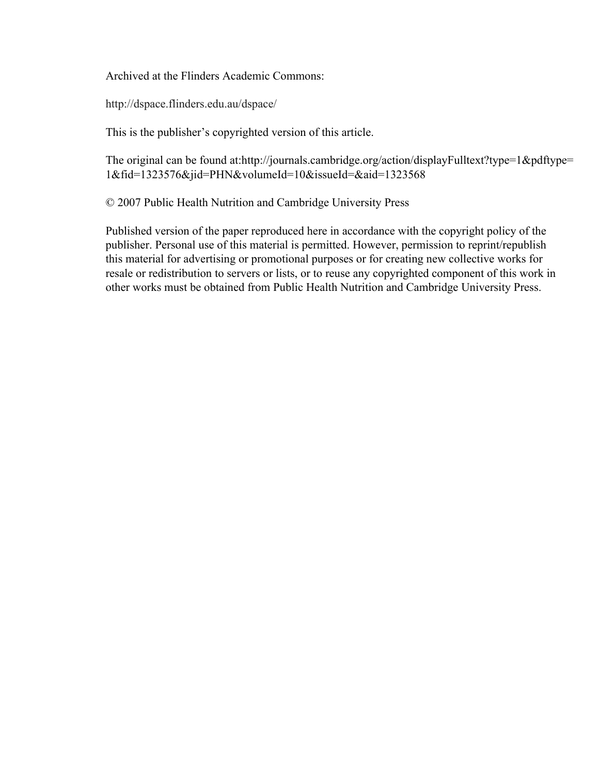Archived at the Flinders Academic Commons:

http://dspace.flinders.edu.au/dspace/

This is the publisher's copyrighted version of this article.

The original can be found at:http://journals.cambridge.org/action/displayFulltext?type=1&pdftype= 1&fid=1323576&jid=PHN&volumeId=10&issueId=&aid=1323568

© 2007 Public Health Nutrition and Cambridge University Press

Published version of the paper reproduced here in accordance with the copyright policy of the publisher. Personal use of this material is permitted. However, permission to reprint/republish this material for advertising or promotional purposes or for creating new collective works for resale or redistribution to servers or lists, or to reuse any copyrighted component of this work in other works must be obtained from Public Health Nutrition and Cambridge University Press.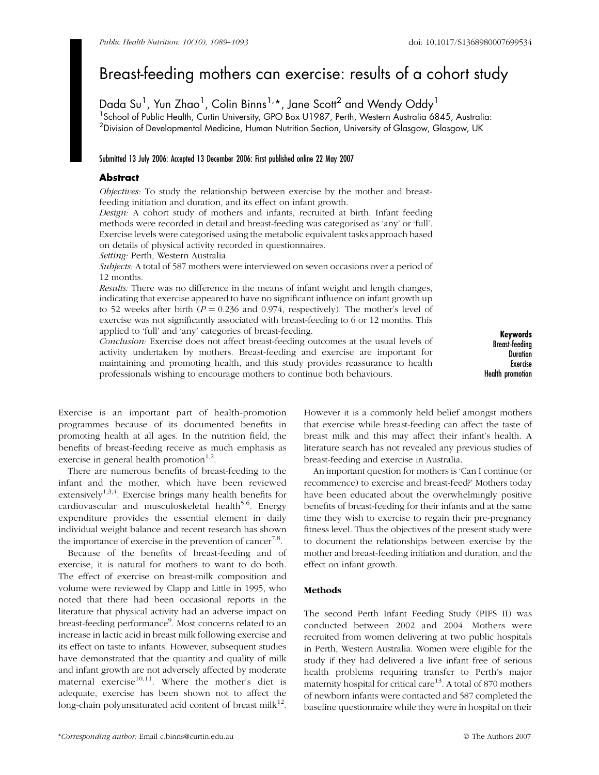# Breast-feeding mothers can exercise: results of a cohort study

Dada Su<sup>1</sup>, Yun Zhao<sup>1</sup>, Colin Binns<sup>1,</sup>\*, Jane Scott<sup>2</sup> and Wendy Oddy<sup>1</sup> <sup>1</sup> School of Public Health, Curtin University, GPO Box U1987, Perth, Western Australia 6845, Australia:  $^2$ Division of Developmental Medicine, Human Nutrition Section, University of Glasgow, Glasgow, UK

#### Submitted 13 July 2006: Accepted 13 December 2006: First published online 22 May 2007

## Abstract

Objectives: To study the relationship between exercise by the mother and breastfeeding initiation and duration, and its effect on infant growth.

Design: A cohort study of mothers and infants, recruited at birth. Infant feeding methods were recorded in detail and breast-feeding was categorised as 'any' or 'full'. Exercise levels were categorised using the metabolic equivalent tasks approach based on details of physical activity recorded in questionnaires.

Setting: Perth, Western Australia.

Subjects: A total of 587 mothers were interviewed on seven occasions over a period of 12 months.

Results: There was no difference in the means of infant weight and length changes, indicating that exercise appeared to have no significant influence on infant growth up to 52 weeks after birth ( $P = 0.236$  and 0.974, respectively). The mother's level of exercise was not significantly associated with breast-feeding to 6 or 12 months. This applied to 'full' and 'any' categories of breast-feeding.

Conclusion: Exercise does not affect breast-feeding outcomes at the usual levels of activity undertaken by mothers. Breast-feeding and exercise are important for maintaining and promoting health, and this study provides reassurance to health professionals wishing to encourage mothers to continue both behaviours.

Keywords Breast-feeding **Duration** Exercise Health promotion

Exercise is an important part of health-promotion programmes because of its documented benefits in promoting health at all ages. In the nutrition field, the benefits of breast-feeding receive as much emphasis as exercise in general health promotion<sup>1,2</sup>.

There are numerous benefits of breast-feeding to the infant and the mother, which have been reviewed extensively<sup>1,3,4</sup>. Exercise brings many health benefits for cardiovascular and musculoskeletal health<sup>5,6</sup>. Energy expenditure provides the essential element in daily individual weight balance and recent research has shown the importance of exercise in the prevention of cancer<sup>7,8</sup>.

Because of the benefits of breast-feeding and of exercise, it is natural for mothers to want to do both. The effect of exercise on breast-milk composition and volume were reviewed by Clapp and Little in 1995, who noted that there had been occasional reports in the literature that physical activity had an adverse impact on breast-feeding performance<sup>9</sup>. Most concerns related to an increase in lactic acid in breast milk following exercise and its effect on taste to infants. However, subsequent studies have demonstrated that the quantity and quality of milk and infant growth are not adversely affected by moderate maternal exercise $10,11$ . Where the mother's diet is adequate, exercise has been shown not to affect the long-chain polyunsaturated acid content of breast milk $^{12}$ .

However it is a commonly held belief amongst mothers that exercise while breast-feeding can affect the taste of breast milk and this may affect their infant's health. A literature search has not revealed any previous studies of breast-feeding and exercise in Australia.

An important question for mothers is 'Can I continue (or recommence) to exercise and breast-feed?' Mothers today have been educated about the overwhelmingly positive benefits of breast-feeding for their infants and at the same time they wish to exercise to regain their pre-pregnancy fitness level. Thus the objectives of the present study were to document the relationships between exercise by the mother and breast-feeding initiation and duration, and the effect on infant growth.

#### **Methods**

The second Perth Infant Feeding Study (PIFS II) was conducted between 2002 and 2004. Mothers were recruited from women delivering at two public hospitals in Perth, Western Australia. Women were eligible for the study if they had delivered a live infant free of serious health problems requiring transfer to Perth's major maternity hospital for critical care $13$ . A total of 870 mothers of newborn infants were contacted and 587 completed the baseline questionnaire while they were in hospital on their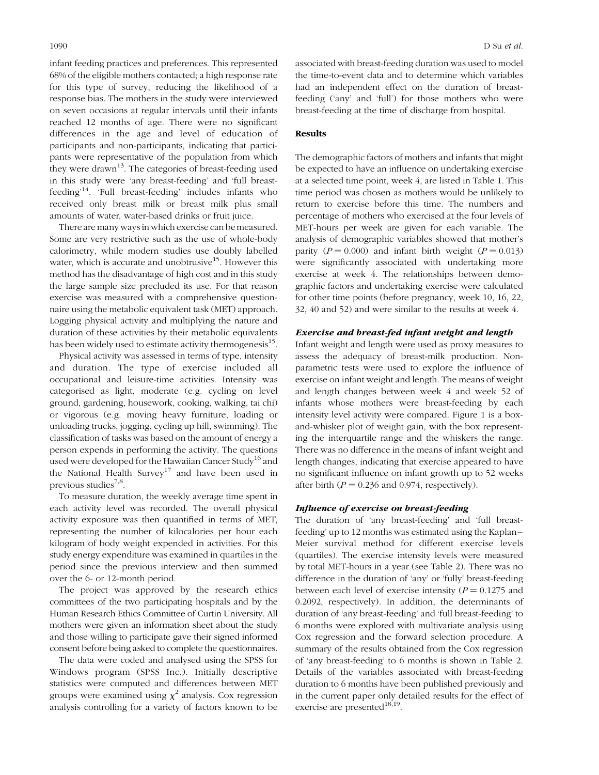infant feeding practices and preferences. This represented 68% of the eligible mothers contacted; a high response rate for this type of survey, reducing the likelihood of a response bias. The mothers in the study were interviewed on seven occasions at regular intervals until their infants reached 12 months of age. There were no significant differences in the age and level of education of participants and non-participants, indicating that participants were representative of the population from which they were drawn<sup>13</sup>. The categories of breast-feeding used in this study were 'any breast-feeding' and 'full breastfeeding'14. 'Full breast-feeding' includes infants who received only breast milk or breast milk plus small amounts of water, water-based drinks or fruit juice.

There are many ways in which exercise can be measured. Some are very restrictive such as the use of whole-body calorimetry, while modern studies use doubly labelled water, which is accurate and unobtrusive<sup>15</sup>. However this method has the disadvantage of high cost and in this study the large sample size precluded its use. For that reason exercise was measured with a comprehensive questionnaire using the metabolic equivalent task (MET) approach. Logging physical activity and multiplying the nature and duration of these activities by their metabolic equivalents has been widely used to estimate activity thermogenesis<sup>15</sup>.

Physical activity was assessed in terms of type, intensity and duration. The type of exercise included all occupational and leisure-time activities. Intensity was categorised as light, moderate (e.g. cycling on level ground, gardening, housework, cooking, walking, tai chi) or vigorous (e.g. moving heavy furniture, loading or unloading trucks, jogging, cycling up hill, swimming). The classification of tasks was based on the amount of energy a person expends in performing the activity. The questions used were developed for the Hawaiian Cancer Study<sup>16</sup> and the National Health Survey<sup>17</sup> and have been used in previous studies $7,8$ .

To measure duration, the weekly average time spent in each activity level was recorded. The overall physical activity exposure was then quantified in terms of MET, representing the number of kilocalories per hour each kilogram of body weight expended in activities. For this study energy expenditure was examined in quartiles in the period since the previous interview and then summed over the 6- or 12-month period.

The project was approved by the research ethics committees of the two participating hospitals and by the Human Research Ethics Committee of Curtin University. All mothers were given an information sheet about the study and those willing to participate gave their signed informed consent before being asked to complete the questionnaires.

The data were coded and analysed using the SPSS for Windows program (SPSS Inc.). Initially descriptive statistics were computed and differences between MET groups were examined using  $\chi^2$  analysis. Cox regression analysis controlling for a variety of factors known to be associated with breast-feeding duration was used to model the time-to-event data and to determine which variables had an independent effect on the duration of breastfeeding ('any' and 'full') for those mothers who were breast-feeding at the time of discharge from hospital.

#### Results

The demographic factors of mothers and infants that might be expected to have an influence on undertaking exercise at a selected time point, week 4, are listed in Table 1. This time period was chosen as mothers would be unlikely to return to exercise before this time. The numbers and percentage of mothers who exercised at the four levels of MET-hours per week are given for each variable. The analysis of demographic variables showed that mother's parity ( $P = 0.000$ ) and infant birth weight ( $P = 0.013$ ) were significantly associated with undertaking more exercise at week 4. The relationships between demographic factors and undertaking exercise were calculated for other time points (before pregnancy, week 10, 16, 22, 32, 40 and 52) and were similar to the results at week 4.

### Exercise and breast-fed infant weight and length

Infant weight and length were used as proxy measures to assess the adequacy of breast-milk production. Nonparametric tests were used to explore the influence of exercise on infant weight and length. The means of weight and length changes between week 4 and week 52 of infants whose mothers were breast-feeding by each intensity level activity were compared. Figure 1 is a boxand-whisker plot of weight gain, with the box representing the interquartile range and the whiskers the range. There was no difference in the means of infant weight and length changes, indicating that exercise appeared to have no significant influence on infant growth up to 52 weeks after birth ( $P = 0.236$  and 0.974, respectively).

#### Influence of exercise on breast-feeding

The duration of 'any breast-feeding' and 'full breastfeeding' up to 12 months was estimated using the Kaplan– Meier survival method for different exercise levels (quartiles). The exercise intensity levels were measured by total MET-hours in a year (see Table 2). There was no difference in the duration of 'any' or 'fully' breast-feeding between each level of exercise intensity ( $P = 0.1275$  and 0.2092, respectively). In addition, the determinants of duration of 'any breast-feeding' and 'full breast-feeding' to 6 months were explored with multivariate analysis using Cox regression and the forward selection procedure. A summary of the results obtained from the Cox regression of 'any breast-feeding' to 6 months is shown in Table 2. Details of the variables associated with breast-feeding duration to 6 months have been published previously and in the current paper only detailed results for the effect of exercise are presented $^{18,19}$ .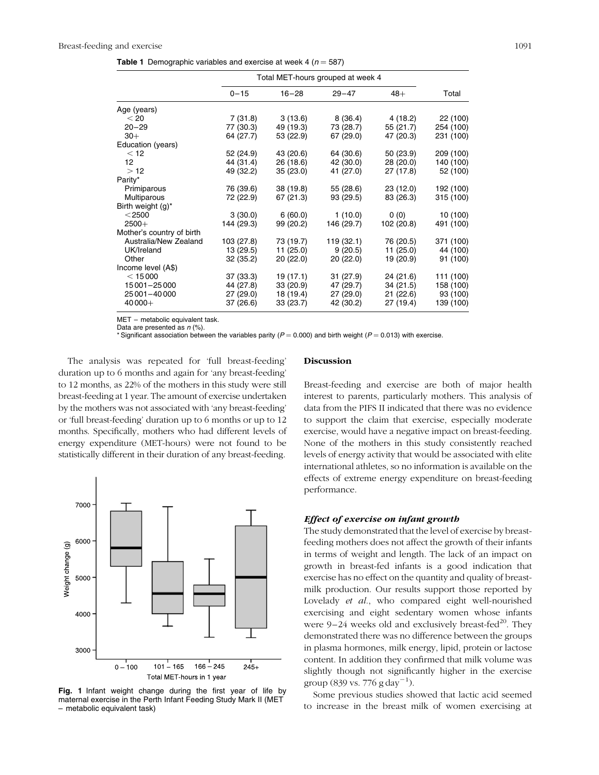|  | <b>Table 1</b> Demographic variables and exercise at week 4 ( $n = 587$ ) |  |  |  |  |  |
|--|---------------------------------------------------------------------------|--|--|--|--|--|
|--|---------------------------------------------------------------------------|--|--|--|--|--|

|                           |            | Total MET-hours grouped at week 4 |            |            |           |
|---------------------------|------------|-----------------------------------|------------|------------|-----------|
|                           | $0 - 15$   | $16 - 28$                         | $29 - 47$  | $48+$      | Total     |
| Age (years)               |            |                                   |            |            |           |
| < 20                      | 7(31.8)    | 3(13.6)                           | 8(36.4)    | 4 (18.2)   | 22 (100)  |
| $20 - 29$                 | 77 (30.3)  | 49 (19.3)                         | 73 (28.7)  | 55 (21.7)  | 254 (100) |
| $30+$                     | 64 (27.7)  | 53 (22.9)                         | 67 (29.0)  | 47 (20.3)  | 231 (100) |
| Education (years)         |            |                                   |            |            |           |
| < 12                      | 52 (24.9)  | 43 (20.6)                         | 64 (30.6)  | 50(23.9)   | 209 (100) |
| 12                        | 44 (31.4)  | 26 (18.6)                         | 42 (30.0)  | 28 (20.0)  | 140 (100) |
| >12                       | 49 (32.2)  | 35(23.0)                          | 41 (27.0)  | 27 (17.8)  | 52 (100)  |
| Parity*                   |            |                                   |            |            |           |
| Primiparous               | 76 (39.6)  | 38 (19.8)                         | 55 (28.6)  | 23 (12.0)  | 192 (100) |
| Multiparous               | 72 (22.9)  | 67 (21.3)                         | 93 (29.5)  | 83 (26.3)  | 315 (100) |
| Birth weight (g)*         |            |                                   |            |            |           |
| $<$ 2500                  | 3(30.0)    | 6(60.0)                           | 1(10.0)    | 0(0)       | 10 (100)  |
| $2500+$                   | 144 (29.3) | 99 (20.2)                         | 146 (29.7) | 102 (20.8) | 491 (100) |
| Mother's country of birth |            |                                   |            |            |           |
| Australia/New Zealand     | 103 (27.8) | 73 (19.7)                         | 119 (32.1) | 76 (20.5)  | 371 (100) |
| UK/Ireland                | 13 (29.5)  | 11(25.0)                          | 9(20.5)    | 11(25.0)   | 44 (100)  |
| Other                     | 32 (35.2)  | 20(22.0)                          | 20(22.0)   | 19 (20.9)  | 91 (100)  |
| Income level (A\$)        |            |                                   |            |            |           |
| < 15000                   | 37 (33.3)  | 19(17.1)                          | 31(27.9)   | 24 (21.6)  | 111 (100) |
| 15 001 - 25 000           | 44 (27.8)  | 33 (20.9)                         | 47 (29.7)  | 34(21.5)   | 158 (100) |
| 25 001 - 40 000           | 27 (29.0)  | 18 (19.4)                         | 27 (29.0)  | 21(22.6)   | 93 (100)  |
| $40000+$                  | 37 (26.6)  | 33 (23.7)                         | 42 (30.2)  | 27 (19.4)  | 139 (100) |

MET – metabolic equivalent task.

Data are presented as  $n$  (%).

\* Significant association between the variables parity ( $P = 0.000$ ) and birth weight ( $P = 0.013$ ) with exercise.

The analysis was repeated for 'full breast-feeding' duration up to 6 months and again for 'any breast-feeding' to 12 months, as 22% of the mothers in this study were still breast-feeding at 1 year. The amount of exercise undertaken by the mothers was not associated with 'any breast-feeding' or 'full breast-feeding' duration up to 6 months or up to 12 months. Specifically, mothers who had different levels of energy expenditure (MET-hours) were not found to be statistically different in their duration of any breast-feeding.



Fig. 1 Infant weight change during the first year of life by maternal exercise in the Perth Infant Feeding Study Mark II (MET – metabolic equivalent task)

#### Discussion

Breast-feeding and exercise are both of major health interest to parents, particularly mothers. This analysis of data from the PIFS II indicated that there was no evidence to support the claim that exercise, especially moderate exercise, would have a negative impact on breast-feeding. None of the mothers in this study consistently reached levels of energy activity that would be associated with elite international athletes, so no information is available on the effects of extreme energy expenditure on breast-feeding performance.

#### Effect of exercise on infant growth

The study demonstrated that the level of exercise by breastfeeding mothers does not affect the growth of their infants in terms of weight and length. The lack of an impact on growth in breast-fed infants is a good indication that exercise has no effect on the quantity and quality of breastmilk production. Our results support those reported by Lovelady et al., who compared eight well-nourished exercising and eight sedentary women whose infants were 9-24 weeks old and exclusively breast-fed<sup>20</sup>. They demonstrated there was no difference between the groups in plasma hormones, milk energy, lipid, protein or lactose content. In addition they confirmed that milk volume was slightly though not significantly higher in the exercise group (839 vs. 776 g day<sup>-1</sup>).

Some previous studies showed that lactic acid seemed to increase in the breast milk of women exercising at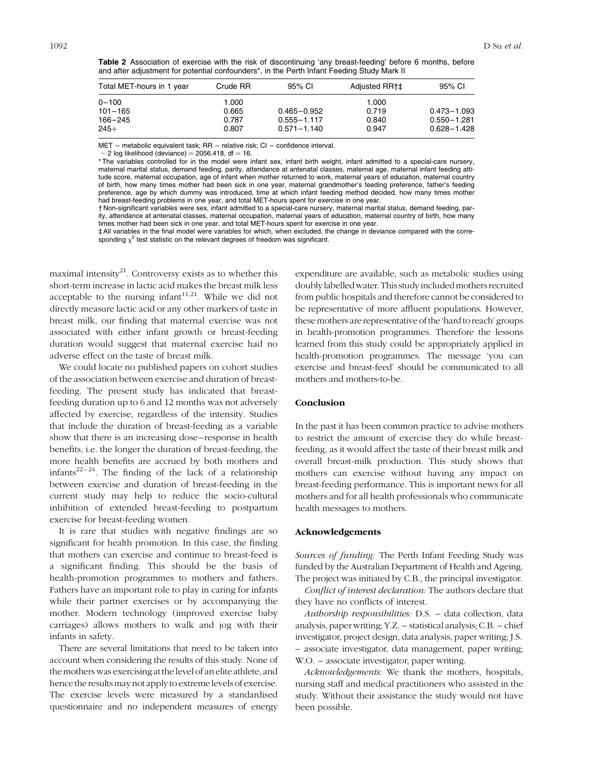Table 2 Association of exercise with the risk of discontinuing 'any breast-feeding' before 6 months, before and after adjustment for potential confounders\*, in the Perth Infant Feeding Study Mark II

| Total MET-hours in 1 year | Crude RR | 95% CI          | Adjusted RR+‡ | 95% CI          |
|---------------------------|----------|-----------------|---------------|-----------------|
| $0 - 100$                 | 1.000    |                 | 1.000         |                 |
| $101 - 165$               | 0.665    | $0.465 - 0.952$ | 0.719         | $0.473 - 1.093$ |
| 166-245                   | 0.787    | $0.555 - 1.117$ | 0.840         | $0.550 - 1.281$ |
| $245+$                    | 0.807    | $0.571 - 1.140$ | 0.947         | $0.628 - 1.428$ |

MET – metabolic equivalent task; RR – relative risk; CI – confidence interval.

 $-2$  log likelihood (deviance) = 2056.418, df = 16.

\* The variables controlled for in the model were infant sex, infant birth weight, infant admitted to a special-care nursery, maternal marital status, demand feeding, parity, attendance at antenatal classes, maternal age, maternal infant feeding attitude score, maternal occupation, age of infant when mother returned to work, maternal years of education, maternal country of birth, how many times mother had been sick in one year, maternal grandmother's feeding preference, father's feeding preference, age by which dummy was introduced, time at which infant feeding method decided, how many times mother had breast-feeding problems in one year, and total MET-hours spent for exercise in one year.

† Non-significant variables were sex, infant admitted to a special-care nursery, maternal marital status, demand feeding, parity, attendance at antenatal classes, maternal occupation, maternal years of education, maternal country of birth, how many times mother had been sick in one year, and total MET-hours spent for exercise in one year.

‡ All variables in the final model were variables for which, when excluded, the change in deviance compared with the corresponding  $\chi^2$  test statistic on the relevant degrees of freedom was significant.

maximal intensity<sup>21</sup>. Controversy exists as to whether this short-term increase in lactic acid makes the breast milk less acceptable to the nursing infant<sup>11,21</sup>. While we did not directly measure lactic acid or any other markers of taste in breast milk, our finding that maternal exercise was not associated with either infant growth or breast-feeding duration would suggest that maternal exercise had no adverse effect on the taste of breast milk.

We could locate no published papers on cohort studies of the association between exercise and duration of breastfeeding. The present study has indicated that breastfeeding duration up to 6 and 12 months was not adversely affected by exercise, regardless of the intensity. Studies that include the duration of breast-feeding as a variable show that there is an increasing dose–response in health benefits, i.e. the longer the duration of breast-feeding, the more health benefits are accrued by both mothers and infants $2^{2-24}$ . The finding of the lack of a relationship between exercise and duration of breast-feeding in the current study may help to reduce the socio-cultural inhibition of extended breast-feeding to postpartum exercise for breast-feeding women.

It is rare that studies with negative findings are so significant for health promotion. In this case, the finding that mothers can exercise and continue to breast-feed is a significant finding. This should be the basis of health-promotion programmes to mothers and fathers. Fathers have an important role to play in caring for infants while their partner exercises or by accompanying the mother. Modern technology (improved exercise baby carriages) allows mothers to walk and jog with their infants in safety.

There are several limitations that need to be taken into account when considering the results of this study. None of the mothers was exercising at the level of an elite athlete, and hence the results may not apply to extreme levels of exercise. The exercise levels were measured by a standardised questionnaire and no independent measures of energy expenditure are available, such as metabolic studies using doubly labelled water. This study included mothers recruited from public hospitals and therefore cannot be considered to be representative of more affluent populations. However, thesemothersarerepresentativeofthe'hardtoreach'groups in health-promotion programmes. Therefore the lessons learned from this study could be appropriately applied in health-promotion programmes. The message 'you can exercise and breast-feed' should be communicated to all mothers and mothers-to-be.

#### Conclusion

In the past it has been common practice to advise mothers to restrict the amount of exercise they do while breastfeeding, as it would affect the taste of their breast milk and overall breast-milk production. This study shows that mothers can exercise without having any impact on breast-feeding performance. This is important news for all mothers and for all health professionals who communicate health messages to mothers.

#### Acknowledgements

Sources of funding: The Perth Infant Feeding Study was funded by the Australian Department of Health and Ageing. The project was initiated by C.B., the principal investigator.

Conflict of interest declaration: The authors declare that they have no conflicts of interest.

Authorship responsibilities: D.S. – data collection, data analysis, paper writing; Y.Z. – statistical analysis; C.B. – chief investigator, project design, data analysis, paper writing; J.S. – associate investigator, data management, paper writing; W.O. – associate investigator, paper writing.

Acknowledgements: We thank the mothers, hospitals, nursing staff and medical practitioners who assisted in the study. Without their assistance the study would not have been possible.